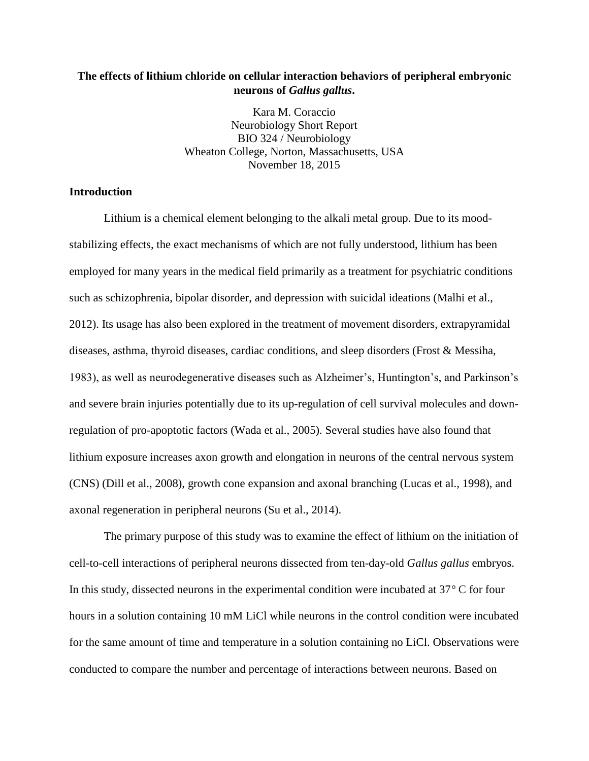# **The effects of lithium chloride on cellular interaction behaviors of peripheral embryonic neurons of** *Gallus gallus***.**

Kara M. Coraccio Neurobiology Short Report BIO 324 / Neurobiology Wheaton College, Norton, Massachusetts, USA November 18, 2015

## **Introduction**

Lithium is a chemical element belonging to the alkali metal group. Due to its moodstabilizing effects, the exact mechanisms of which are not fully understood, lithium has been employed for many years in the medical field primarily as a treatment for psychiatric conditions such as schizophrenia, bipolar disorder, and depression with suicidal ideations (Malhi et al., 2012). Its usage has also been explored in the treatment of movement disorders, extrapyramidal diseases, asthma, thyroid diseases, cardiac conditions, and sleep disorders (Frost & Messiha, 1983), as well as neurodegenerative diseases such as Alzheimer's, Huntington's, and Parkinson's and severe brain injuries potentially due to its up-regulation of cell survival molecules and downregulation of pro-apoptotic factors (Wada et al., 2005). Several studies have also found that lithium exposure increases axon growth and elongation in neurons of the central nervous system (CNS) (Dill et al., 2008), growth cone expansion and axonal branching (Lucas et al., 1998), and axonal regeneration in peripheral neurons (Su et al., 2014).

The primary purpose of this study was to examine the effect of lithium on the initiation of cell-to-cell interactions of peripheral neurons dissected from ten-day-old *Gallus gallus* embryos. In this study, dissected neurons in the experimental condition were incubated at 37*°* C for four hours in a solution containing 10 mM LiCl while neurons in the control condition were incubated for the same amount of time and temperature in a solution containing no LiCl. Observations were conducted to compare the number and percentage of interactions between neurons. Based on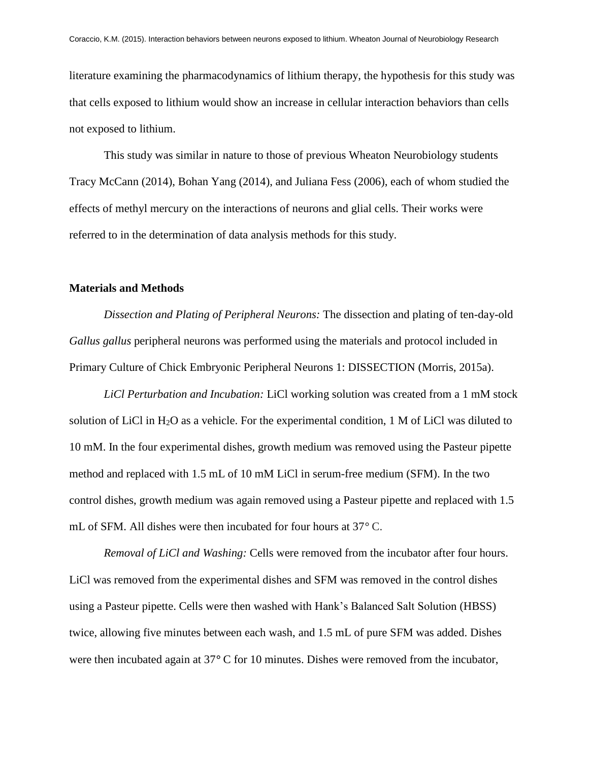literature examining the pharmacodynamics of lithium therapy, the hypothesis for this study was that cells exposed to lithium would show an increase in cellular interaction behaviors than cells not exposed to lithium.

This study was similar in nature to those of previous Wheaton Neurobiology students Tracy McCann (2014), Bohan Yang (2014), and Juliana Fess (2006), each of whom studied the effects of methyl mercury on the interactions of neurons and glial cells. Their works were referred to in the determination of data analysis methods for this study.

#### **Materials and Methods**

*Dissection and Plating of Peripheral Neurons:* The dissection and plating of ten-day-old *Gallus gallus* peripheral neurons was performed using the materials and protocol included in Primary Culture of Chick Embryonic Peripheral Neurons 1: DISSECTION (Morris, 2015a).

*LiCl Perturbation and Incubation:* LiCl working solution was created from a 1 mM stock solution of LiCl in H2O as a vehicle. For the experimental condition, 1 M of LiCl was diluted to 10 mM. In the four experimental dishes, growth medium was removed using the Pasteur pipette method and replaced with 1.5 mL of 10 mM LiCl in serum-free medium (SFM). In the two control dishes, growth medium was again removed using a Pasteur pipette and replaced with 1.5 mL of SFM. All dishes were then incubated for four hours at 37*°* C.

*Removal of LiCl and Washing:* Cells were removed from the incubator after four hours. LiCl was removed from the experimental dishes and SFM was removed in the control dishes using a Pasteur pipette. Cells were then washed with Hank's Balanced Salt Solution (HBSS) twice, allowing five minutes between each wash, and 1.5 mL of pure SFM was added. Dishes were then incubated again at 37*°* C for 10 minutes. Dishes were removed from the incubator,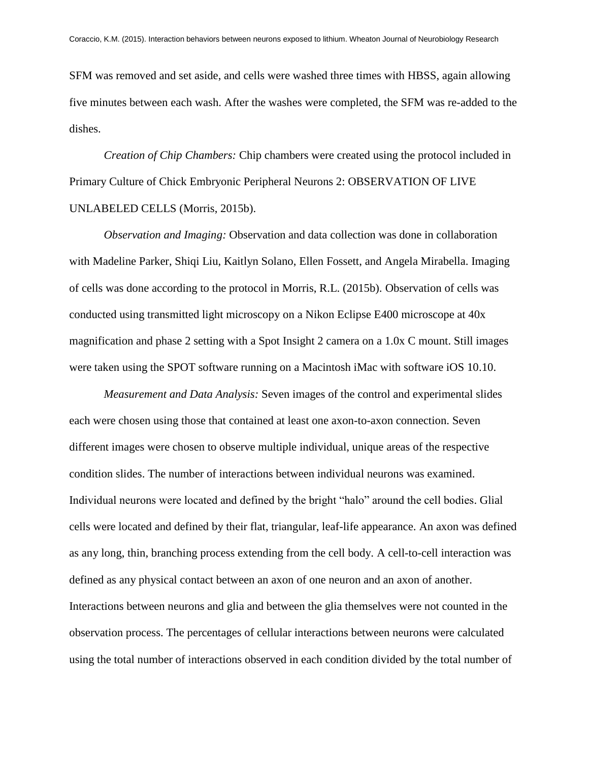SFM was removed and set aside, and cells were washed three times with HBSS, again allowing five minutes between each wash. After the washes were completed, the SFM was re-added to the dishes.

*Creation of Chip Chambers:* Chip chambers were created using the protocol included in Primary Culture of Chick Embryonic Peripheral Neurons 2: OBSERVATION OF LIVE UNLABELED CELLS (Morris, 2015b).

*Observation and Imaging:* Observation and data collection was done in collaboration with Madeline Parker, Shiqi Liu, Kaitlyn Solano, Ellen Fossett, and Angela Mirabella. Imaging of cells was done according to the protocol in Morris, R.L. (2015b). Observation of cells was conducted using transmitted light microscopy on a Nikon Eclipse E400 microscope at 40x magnification and phase 2 setting with a Spot Insight 2 camera on a 1.0x C mount. Still images were taken using the SPOT software running on a Macintosh iMac with software iOS 10.10.

*Measurement and Data Analysis:* Seven images of the control and experimental slides each were chosen using those that contained at least one axon-to-axon connection. Seven different images were chosen to observe multiple individual, unique areas of the respective condition slides. The number of interactions between individual neurons was examined. Individual neurons were located and defined by the bright "halo" around the cell bodies. Glial cells were located and defined by their flat, triangular, leaf-life appearance. An axon was defined as any long, thin, branching process extending from the cell body. A cell-to-cell interaction was defined as any physical contact between an axon of one neuron and an axon of another. Interactions between neurons and glia and between the glia themselves were not counted in the observation process. The percentages of cellular interactions between neurons were calculated using the total number of interactions observed in each condition divided by the total number of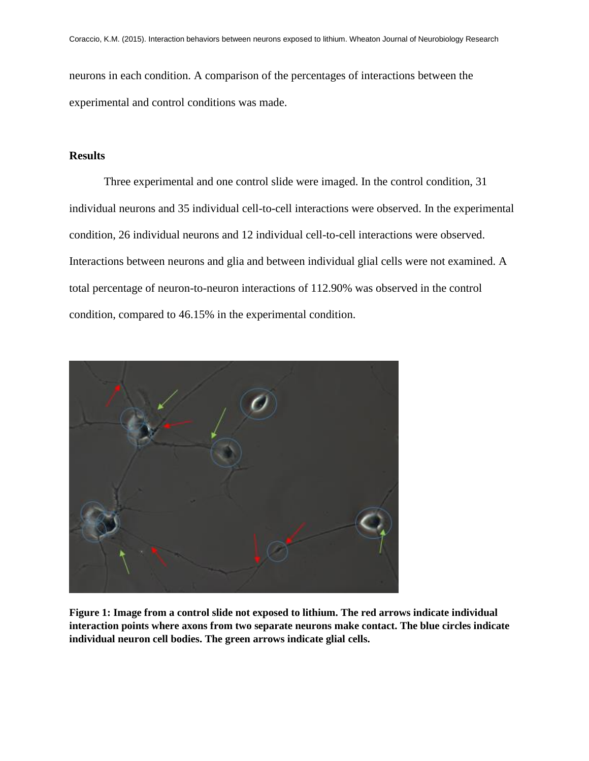neurons in each condition. A comparison of the percentages of interactions between the experimental and control conditions was made.

#### **Results**

Three experimental and one control slide were imaged. In the control condition, 31 individual neurons and 35 individual cell-to-cell interactions were observed. In the experimental condition, 26 individual neurons and 12 individual cell-to-cell interactions were observed. Interactions between neurons and glia and between individual glial cells were not examined. A total percentage of neuron-to-neuron interactions of 112.90% was observed in the control condition, compared to 46.15% in the experimental condition.



**Figure 1: Image from a control slide not exposed to lithium. The red arrows indicate individual interaction points where axons from two separate neurons make contact. The blue circles indicate individual neuron cell bodies. The green arrows indicate glial cells.**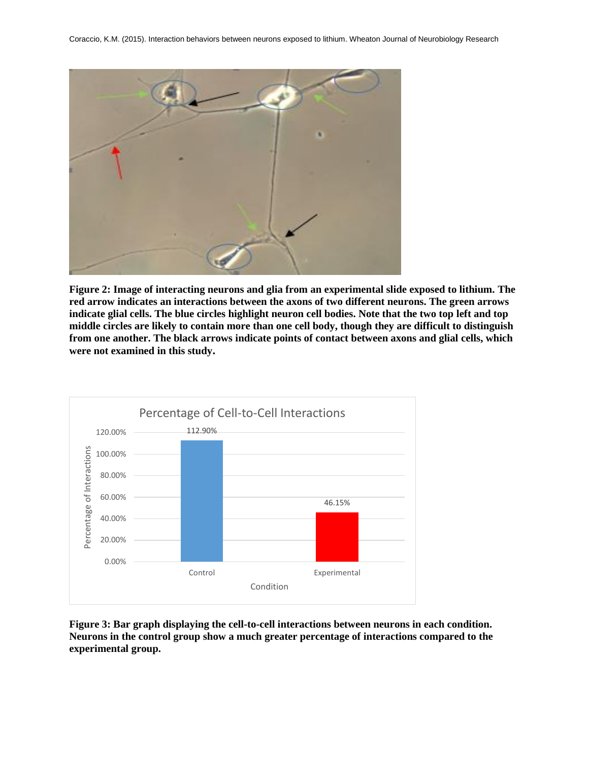

**Figure 2: Image of interacting neurons and glia from an experimental slide exposed to lithium. The red arrow indicates an interactions between the axons of two different neurons. The green arrows indicate glial cells. The blue circles highlight neuron cell bodies. Note that the two top left and top middle circles are likely to contain more than one cell body, though they are difficult to distinguish from one another. The black arrows indicate points of contact between axons and glial cells, which were not examined in this study.** 



**Figure 3: Bar graph displaying the cell-to-cell interactions between neurons in each condition. Neurons in the control group show a much greater percentage of interactions compared to the experimental group.**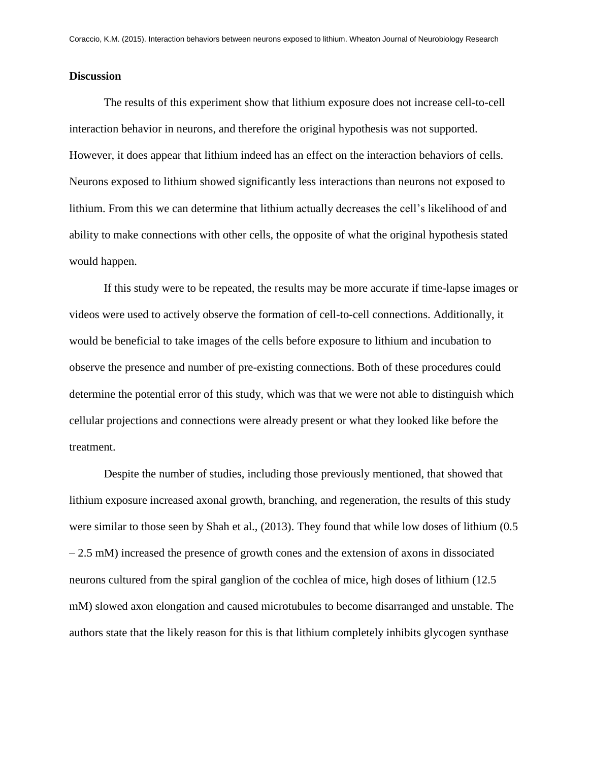### **Discussion**

The results of this experiment show that lithium exposure does not increase cell-to-cell interaction behavior in neurons, and therefore the original hypothesis was not supported. However, it does appear that lithium indeed has an effect on the interaction behaviors of cells. Neurons exposed to lithium showed significantly less interactions than neurons not exposed to lithium. From this we can determine that lithium actually decreases the cell's likelihood of and ability to make connections with other cells, the opposite of what the original hypothesis stated would happen.

If this study were to be repeated, the results may be more accurate if time-lapse images or videos were used to actively observe the formation of cell-to-cell connections. Additionally, it would be beneficial to take images of the cells before exposure to lithium and incubation to observe the presence and number of pre-existing connections. Both of these procedures could determine the potential error of this study, which was that we were not able to distinguish which cellular projections and connections were already present or what they looked like before the treatment.

Despite the number of studies, including those previously mentioned, that showed that lithium exposure increased axonal growth, branching, and regeneration, the results of this study were similar to those seen by Shah et al., (2013). They found that while low doses of lithium (0.5 – 2.5 mM) increased the presence of growth cones and the extension of axons in dissociated neurons cultured from the spiral ganglion of the cochlea of mice, high doses of lithium (12.5 mM) slowed axon elongation and caused microtubules to become disarranged and unstable. The authors state that the likely reason for this is that lithium completely inhibits glycogen synthase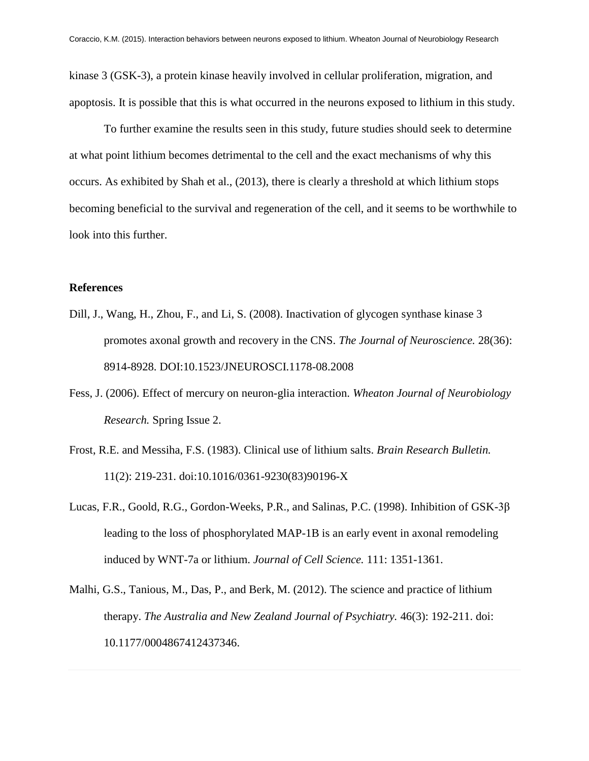kinase 3 (GSK-3), a protein kinase heavily involved in cellular proliferation, migration, and apoptosis. It is possible that this is what occurred in the neurons exposed to lithium in this study.

To further examine the results seen in this study, future studies should seek to determine at what point lithium becomes detrimental to the cell and the exact mechanisms of why this occurs. As exhibited by Shah et al., (2013), there is clearly a threshold at which lithium stops becoming beneficial to the survival and regeneration of the cell, and it seems to be worthwhile to look into this further.

### **References**

- Dill, J., Wang, H., Zhou, F., and Li, S. (2008). Inactivation of glycogen synthase kinase 3 promotes axonal growth and recovery in the CNS. *The Journal of Neuroscience.* 28(36): 8914-8928. DOI:10.1523/JNEUROSCI.1178-08.2008
- Fess, J. (2006). Effect of mercury on neuron-glia interaction. *Wheaton Journal of Neurobiology Research.* Spring Issue 2.
- Frost, R.E. and Messiha, F.S. (1983). Clinical use of lithium salts. *Brain Research Bulletin.*  11(2): 219-231. [doi:10.1016/0361-9230\(83\)90196-X](http://dx.doi.org/10.1016/0361-9230(83)90196-X)
- Lucas, F.R., Goold, R.G., Gordon-Weeks, P.R., and Salinas, P.C. (1998). Inhibition of GSK-3β leading to the loss of phosphorylated MAP-1B is an early event in axonal remodeling induced by WNT-7a or lithium. *Journal of Cell Science.* 111: 1351-1361.
- Malhi, G.S., Tanious, M., Das, P., and Berk, M. (2012). The science and practice of lithium therapy. *The Australia and New Zealand Journal of Psychiatry.* 46(3): 192-211. doi: 10.1177/0004867412437346.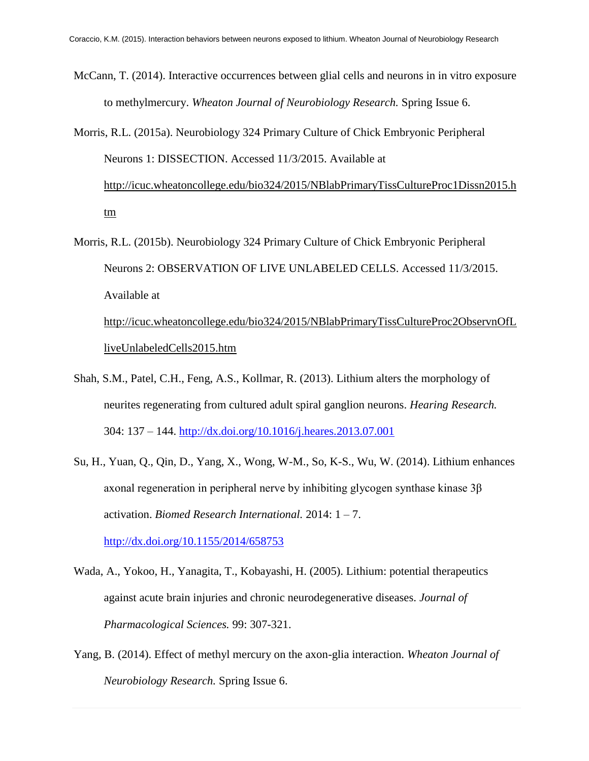McCann, T. (2014). Interactive occurrences between glial cells and neurons in in vitro exposure to methylmercury. *Wheaton Journal of Neurobiology Research.* Spring Issue 6.

Morris, R.L. (2015a). Neurobiology 324 Primary Culture of Chick Embryonic Peripheral Neurons 1: DISSECTION. Accessed 11/3/2015. Available at [http://icuc.wheatoncollege.edu/bio324/2015/NBlabPrimaryTissCultureProc1Dissn2015.h](http://icuc.wheatoncollege.edu/bio324/2015/NBlabPrimaryTissCultureProc1Dissn2015.htm) [tm](http://icuc.wheatoncollege.edu/bio324/2015/NBlabPrimaryTissCultureProc1Dissn2015.htm)

- Morris, R.L. (2015b). Neurobiology 324 Primary Culture of Chick Embryonic Peripheral Neurons 2: OBSERVATION OF LIVE UNLABELED CELLS. Accessed 11/3/2015. Available at [http://icuc.wheatoncollege.edu/bio324/2015/NBlabPrimaryTissCultureProc2ObservnOfL](http://icuc.wheatoncollege.edu/bio324/2015/NBlabPrimaryTissCultureProc2ObservnOfLliveUnlabeledCells2015.htm) [liveUnlabeledCells2015.htm](http://icuc.wheatoncollege.edu/bio324/2015/NBlabPrimaryTissCultureProc2ObservnOfLliveUnlabeledCells2015.htm)
- Shah, S.M., Patel, C.H., Feng, A.S., Kollmar, R. (2013). Lithium alters the morphology of neurites regenerating from cultured adult spiral ganglion neurons. *Hearing Research.*  304: 137 – 144.<http://dx.doi.org/10.1016/j.heares.2013.07.001>
- Su, H., Yuan, Q., Qin, D., Yang, X., Wong, W-M., So, K-S., Wu, W. (2014). Lithium enhances axonal regeneration in peripheral nerve by inhibiting glycogen synthase kinase 3β activation. *Biomed Research International.* 2014: 1 – 7. <http://dx.doi.org/10.1155/2014/658753>

Wada, A., Yokoo, H., Yanagita, T., Kobayashi, H. (2005). Lithium: potential therapeutics against acute brain injuries and chronic neurodegenerative diseases. *Journal of* 

*Pharmacological Sciences.* 99: 307-321.

Yang, B. (2014). Effect of methyl mercury on the axon-glia interaction. *Wheaton Journal of Neurobiology Research.* Spring Issue 6.